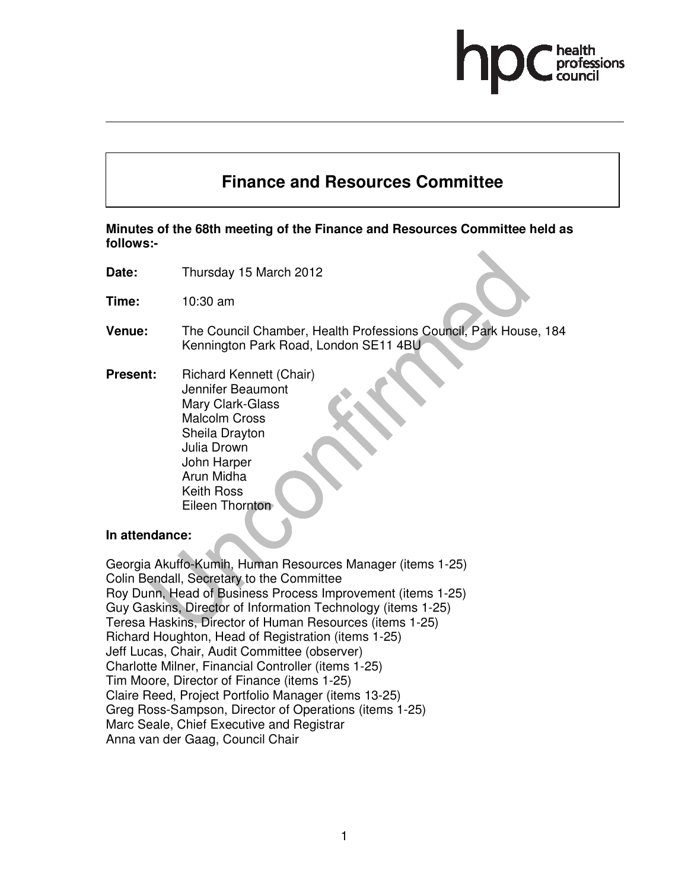# **Finance and Resources Committee**

# **Minutes of the 68th meeting of the Finance and Resources Committee held as follows:-**

- **Date:** Thursday 15 March 2012
- **Time:** 10:30 am
- **Venue:** The Council Chamber, Health Professions Council, Park House, 184 Kennington Park Road, London SE11 4BU
- **Present:** Richard Kennett (Chair) Jennifer Beaumont Mary Clark-Glass Malcolm Cross Sheila Drayton Julia Drown John Harper Arun Midha Keith Ross Eileen Thornton

#### **In attendance:**

Georgia Akuffo-Kumih, Human Resources Manager (items 1-25) Colin Bendall, Secretary to the Committee Roy Dunn, Head of Business Process Improvement (items 1-25) Guy Gaskins, Director of Information Technology (items 1-25) Teresa Haskins, Director of Human Resources (items 1-25) Richard Houghton, Head of Registration (items 1-25) Jeff Lucas, Chair, Audit Committee (observer) Charlotte Milner, Financial Controller (items 1-25) Tim Moore, Director of Finance (items 1-25) Claire Reed, Project Portfolio Manager (items 13-25) Greg Ross-Sampson, Director of Operations (items 1-25) Marc Seale, Chief Executive and Registrar Anna van der Gaag, Council Chair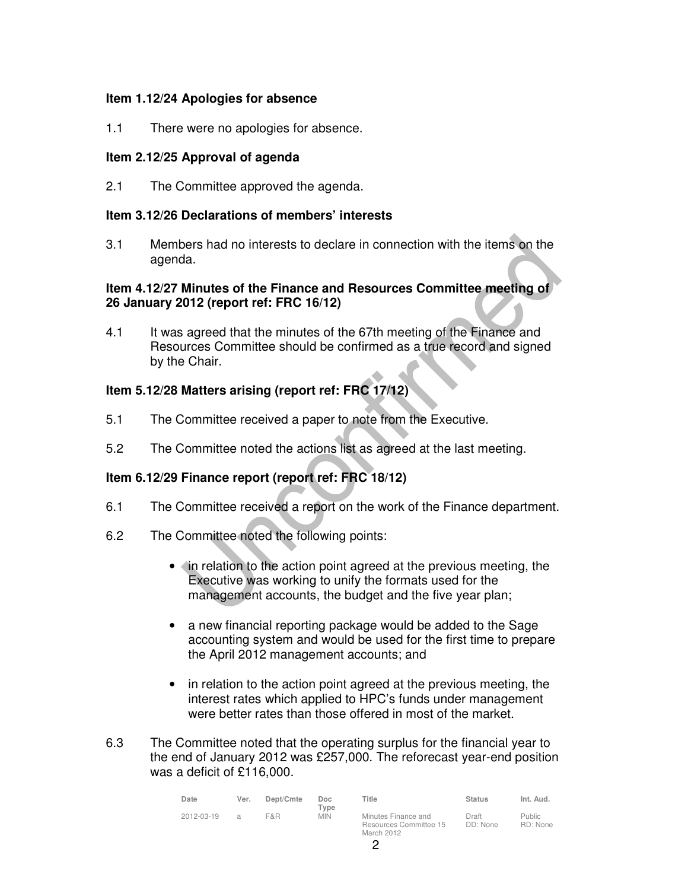### **Item 1.12/24 Apologies for absence**

1.1 There were no apologies for absence.

### **Item 2.12/25 Approval of agenda**

2.1 The Committee approved the agenda.

### **Item 3.12/26 Declarations of members' interests**

3.1 Members had no interests to declare in connection with the items on the agenda.

# **Item 4.12/27 Minutes of the Finance and Resources Committee meeting of 26 January 2012 (report ref: FRC 16/12)**

4.1 It was agreed that the minutes of the 67th meeting of the Finance and Resources Committee should be confirmed as a true record and signed by the Chair.

# **Item 5.12/28 Matters arising (report ref: FRC 17/12)**

- 5.1 The Committee received a paper to note from the Executive.
- 5.2 The Committee noted the actions list as agreed at the last meeting.

# **Item 6.12/29 Finance report (report ref: FRC 18/12)**

- 6.1 The Committee received a report on the work of the Finance department.
- 6.2 The Committee noted the following points:
	- In relation to the action point agreed at the previous meeting, the Executive was working to unify the formats used for the management accounts, the budget and the five year plan;
	- a new financial reporting package would be added to the Sage accounting system and would be used for the first time to prepare the April 2012 management accounts; and
	- in relation to the action point agreed at the previous meeting, the interest rates which applied to HPC's funds under management were better rates than those offered in most of the market.
- 6.3 The Committee noted that the operating surplus for the financial year to the end of January 2012 was £257,000. The reforecast year-end position was a deficit of £116,000.

| Date       | Ver.          | Dept/Cmte | Doc<br>$T$ vpe | Title                                                       | <b>Status</b>     | Int. Aud.          |
|------------|---------------|-----------|----------------|-------------------------------------------------------------|-------------------|--------------------|
| 2012-03-19 | $\mathcal{A}$ | F&R       | <b>MIN</b>     | Minutes Finance and<br>Resources Committee 15<br>March 2012 | Draft<br>DD: None | Public<br>RD: None |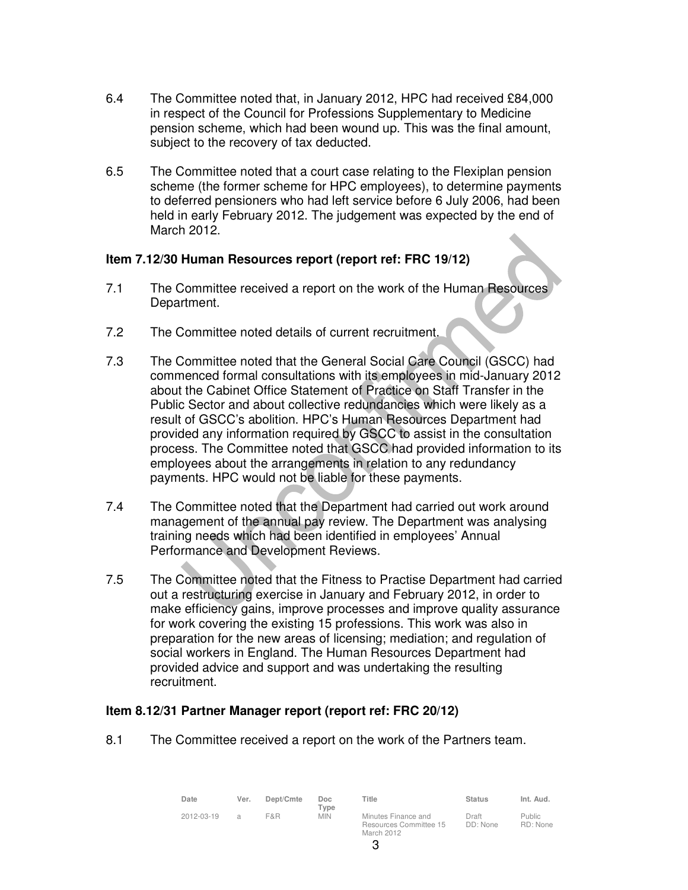- 6.4 The Committee noted that, in January 2012, HPC had received £84,000 in respect of the Council for Professions Supplementary to Medicine pension scheme, which had been wound up. This was the final amount, subject to the recovery of tax deducted.
- 6.5 The Committee noted that a court case relating to the Flexiplan pension scheme (the former scheme for HPC employees), to determine payments to deferred pensioners who had left service before 6 July 2006, had been held in early February 2012. The judgement was expected by the end of March 2012.

# **Item 7.12/30 Human Resources report (report ref: FRC 19/12)**

- 7.1 The Committee received a report on the work of the Human Resources Department.
- 7.2 The Committee noted details of current recruitment.
- 7.3 The Committee noted that the General Social Care Council (GSCC) had commenced formal consultations with its employees in mid-January 2012 about the Cabinet Office Statement of Practice on Staff Transfer in the Public Sector and about collective redundancies which were likely as a result of GSCC's abolition. HPC's Human Resources Department had provided any information required by GSCC to assist in the consultation process. The Committee noted that GSCC had provided information to its employees about the arrangements in relation to any redundancy payments. HPC would not be liable for these payments.
- 7.4 The Committee noted that the Department had carried out work around management of the annual pay review. The Department was analysing training needs which had been identified in employees' Annual Performance and Development Reviews.
- 7.5 The Committee noted that the Fitness to Practise Department had carried out a restructuring exercise in January and February 2012, in order to make efficiency gains, improve processes and improve quality assurance for work covering the existing 15 professions. This work was also in preparation for the new areas of licensing; mediation; and regulation of social workers in England. The Human Resources Department had provided advice and support and was undertaking the resulting recruitment.

# **Item 8.12/31 Partner Manager report (report ref: FRC 20/12)**

8.1 The Committee received a report on the work of the Partners team.

| Date       | Ver.          | Dept/Cmte | Doc.<br>$T$ <sub>Vpe</sub> | Title                                                       | <b>Status</b>     | Int. Aud.                 |
|------------|---------------|-----------|----------------------------|-------------------------------------------------------------|-------------------|---------------------------|
| 2012-03-19 | $\mathcal{L}$ | F&R       | <b>MIN</b>                 | Minutes Finance and<br>Resources Committee 15<br>March 2012 | Draft<br>DD: None | <b>Public</b><br>RD: None |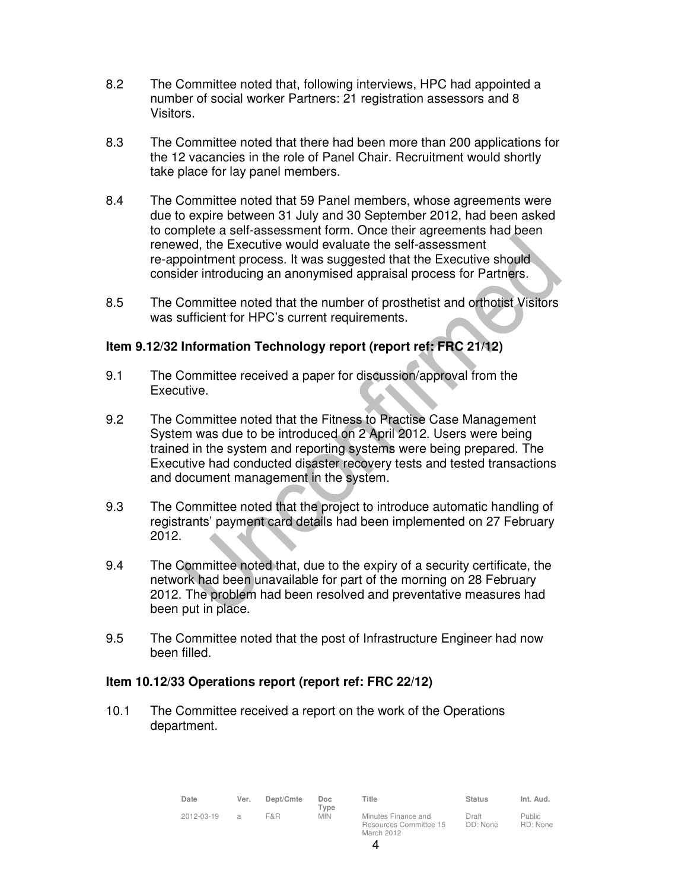- 8.2 The Committee noted that, following interviews, HPC had appointed a number of social worker Partners: 21 registration assessors and 8 Visitors.
- 8.3 The Committee noted that there had been more than 200 applications for the 12 vacancies in the role of Panel Chair. Recruitment would shortly take place for lay panel members.
- 8.4 The Committee noted that 59 Panel members, whose agreements were due to expire between 31 July and 30 September 2012, had been asked to complete a self-assessment form. Once their agreements had been renewed, the Executive would evaluate the self-assessment re-appointment process. It was suggested that the Executive should consider introducing an anonymised appraisal process for Partners.
- 8.5 The Committee noted that the number of prosthetist and orthotist Visitors was sufficient for HPC's current requirements.

### **Item 9.12/32 Information Technology report (report ref: FRC 21/12)**

- 9.1 The Committee received a paper for discussion/approval from the Executive.
- 9.2 The Committee noted that the Fitness to Practise Case Management System was due to be introduced on 2 April 2012. Users were being trained in the system and reporting systems were being prepared. The Executive had conducted disaster recovery tests and tested transactions and document management in the system.
- 9.3 The Committee noted that the project to introduce automatic handling of registrants' payment card details had been implemented on 27 February 2012.
- 9.4 The Committee noted that, due to the expiry of a security certificate, the network had been unavailable for part of the morning on 28 February 2012. The problem had been resolved and preventative measures had been put in place.
- 9.5 The Committee noted that the post of Infrastructure Engineer had now been filled.

#### **Item 10.12/33 Operations report (report ref: FRC 22/12)**

10.1 The Committee received a report on the work of the Operations department.

| Date       | Ver.          | Dept/Cmte | Doc<br>Type | Title                                                       | <b>Status</b>     | Int. Aud.                 |
|------------|---------------|-----------|-------------|-------------------------------------------------------------|-------------------|---------------------------|
| 2012-03-19 | $\mathcal{A}$ | F&R       | <b>MIN</b>  | Minutes Finance and<br>Resources Committee 15<br>March 2012 | Draft<br>DD: None | <b>Public</b><br>RD: None |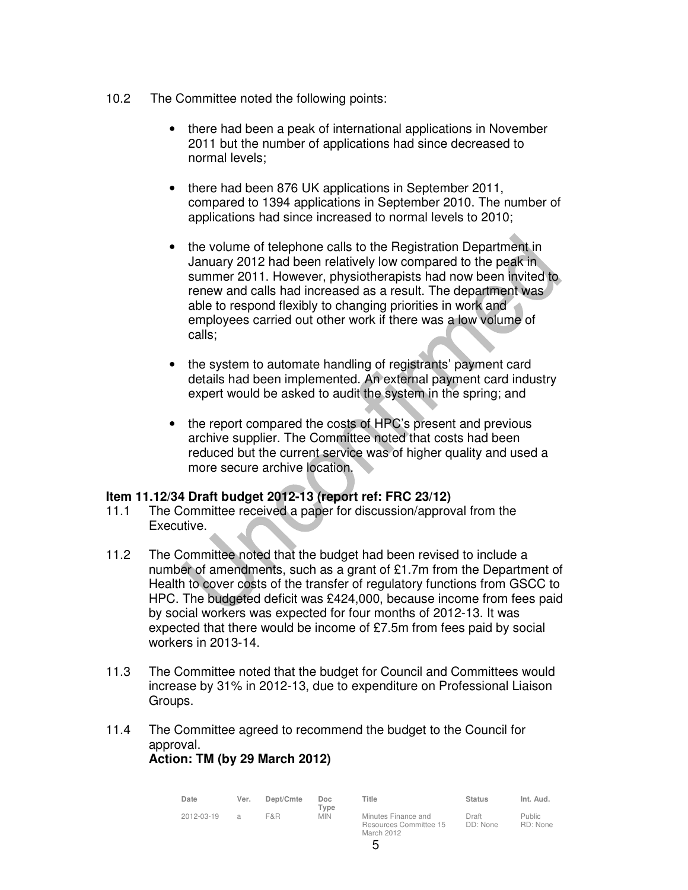- 10.2 The Committee noted the following points:
	- there had been a peak of international applications in November 2011 but the number of applications had since decreased to normal levels;
	- there had been 876 UK applications in September 2011, compared to 1394 applications in September 2010. The number of applications had since increased to normal levels to 2010;
	- the volume of telephone calls to the Registration Department in January 2012 had been relatively low compared to the peak in summer 2011. However, physiotherapists had now been invited to renew and calls had increased as a result. The department was able to respond flexibly to changing priorities in work and employees carried out other work if there was a low volume of calls;
	- the system to automate handling of registrants' payment card details had been implemented. An external payment card industry expert would be asked to audit the system in the spring; and
	- the report compared the costs of HPC's present and previous archive supplier. The Committee noted that costs had been reduced but the current service was of higher quality and used a more secure archive location.

#### **Item 11.12/34 Draft budget 2012-13 (report ref: FRC 23/12)**

- 11.1 The Committee received a paper for discussion/approval from the Executive.
- 11.2 The Committee noted that the budget had been revised to include a number of amendments, such as a grant of £1.7m from the Department of Health to cover costs of the transfer of regulatory functions from GSCC to HPC. The budgeted deficit was £424,000, because income from fees paid by social workers was expected for four months of 2012-13. It was expected that there would be income of £7.5m from fees paid by social workers in 2013-14.
- 11.3 The Committee noted that the budget for Council and Committees would increase by 31% in 2012-13, due to expenditure on Professional Liaison Groups.
- 11.4 The Committee agreed to recommend the budget to the Council for approval.

# **Action: TM (by 29 March 2012)**

| Date       | Ver. | Dept/Cmte | Doc<br>Type | Title                                                       | <b>Status</b>     | Int. Aud.                 |
|------------|------|-----------|-------------|-------------------------------------------------------------|-------------------|---------------------------|
| 2012-03-19 | a    | F&R       | <b>MIN</b>  | Minutes Finance and<br>Resources Committee 15<br>March 2012 | Draft<br>DD: None | <b>Public</b><br>RD: None |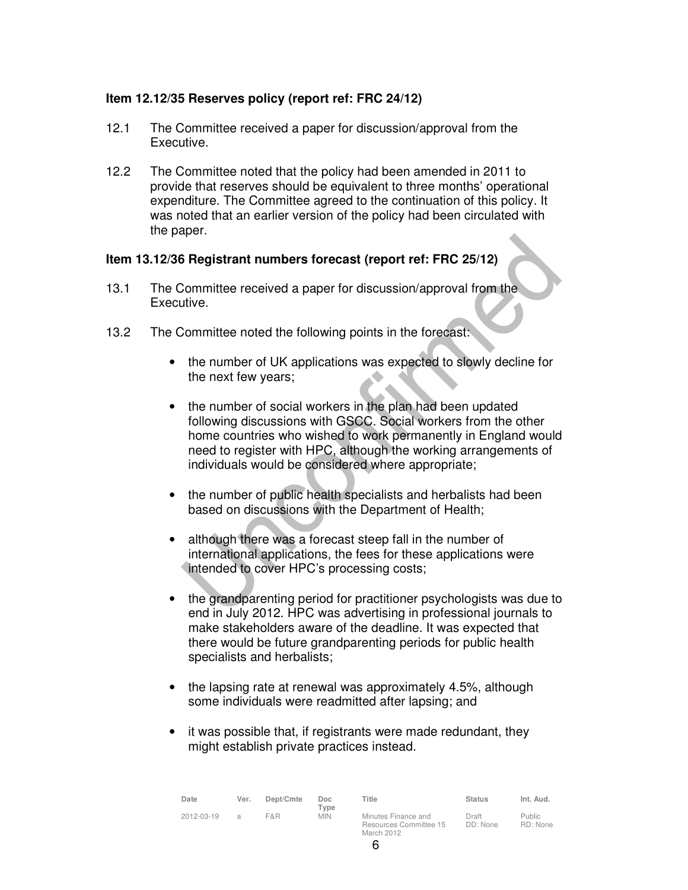# **Item 12.12/35 Reserves policy (report ref: FRC 24/12)**

- 12.1 The Committee received a paper for discussion/approval from the Executive.
- 12.2 The Committee noted that the policy had been amended in 2011 to provide that reserves should be equivalent to three months' operational expenditure. The Committee agreed to the continuation of this policy. It was noted that an earlier version of the policy had been circulated with the paper.

#### **Item 13.12/36 Registrant numbers forecast (report ref: FRC 25/12)**

- 13.1 The Committee received a paper for discussion/approval from the Executive.
- 13.2 The Committee noted the following points in the forecast:
	- the number of UK applications was expected to slowly decline for the next few years;
	- the number of social workers in the plan had been updated following discussions with GSCC. Social workers from the other home countries who wished to work permanently in England would need to register with HPC, although the working arrangements of individuals would be considered where appropriate;
	- the number of public health specialists and herbalists had been based on discussions with the Department of Health;
	- although there was a forecast steep fall in the number of international applications, the fees for these applications were intended to cover HPC's processing costs;
	- the grandparenting period for practitioner psychologists was due to end in July 2012. HPC was advertising in professional journals to make stakeholders aware of the deadline. It was expected that there would be future grandparenting periods for public health specialists and herbalists;
	- the lapsing rate at renewal was approximately 4.5%, although some individuals were readmitted after lapsing; and
	- it was possible that, if registrants were made redundant, they might establish private practices instead.

| Date       | Ver. | Dept/Cmte | Doc<br>Tvpe | ⊤itle                                                       | <b>Status</b>     | Int. Aud.                 |
|------------|------|-----------|-------------|-------------------------------------------------------------|-------------------|---------------------------|
| 2012-03-19 | я    | F&R       | <b>MIN</b>  | Minutes Finance and<br>Resources Committee 15<br>March 2012 | Draft<br>DD: None | <b>Public</b><br>RD: None |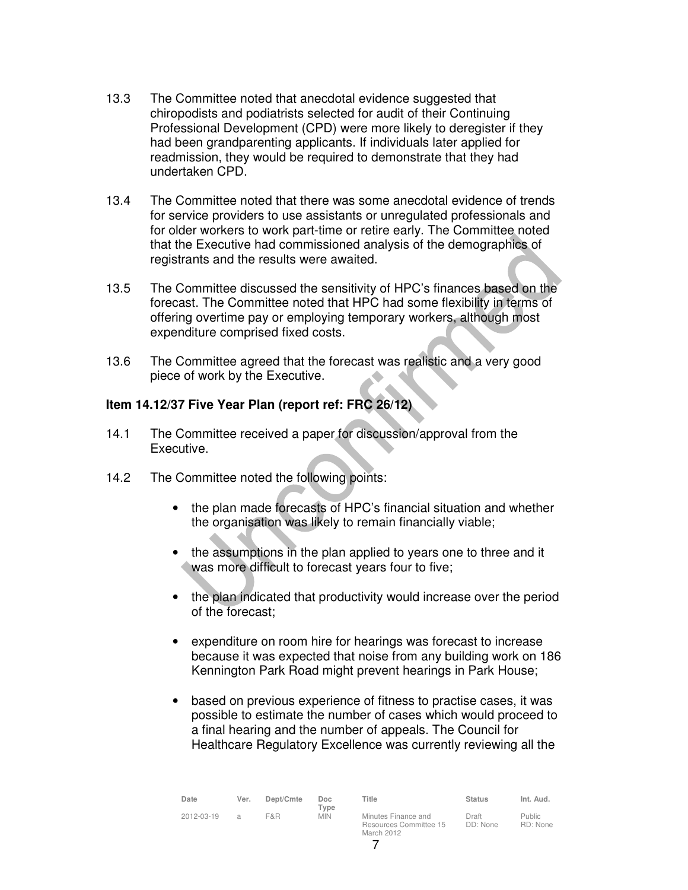- 13.3 The Committee noted that anecdotal evidence suggested that chiropodists and podiatrists selected for audit of their Continuing Professional Development (CPD) were more likely to deregister if they had been grandparenting applicants. If individuals later applied for readmission, they would be required to demonstrate that they had undertaken CPD.
- 13.4 The Committee noted that there was some anecdotal evidence of trends for service providers to use assistants or unregulated professionals and for older workers to work part-time or retire early. The Committee noted that the Executive had commissioned analysis of the demographics of registrants and the results were awaited.
- 13.5 The Committee discussed the sensitivity of HPC's finances based on the forecast. The Committee noted that HPC had some flexibility in terms of offering overtime pay or employing temporary workers, although most expenditure comprised fixed costs.
- 13.6 The Committee agreed that the forecast was realistic and a very good piece of work by the Executive.

# **Item 14.12/37 Five Year Plan (report ref: FRC 26/12)**

- 14.1 The Committee received a paper for discussion/approval from the Executive.
- 14.2 The Committee noted the following points:
	- the plan made forecasts of HPC's financial situation and whether the organisation was likely to remain financially viable;
	- the assumptions in the plan applied to years one to three and it was more difficult to forecast years four to five;
	- the plan indicated that productivity would increase over the period of the forecast;
	- expenditure on room hire for hearings was forecast to increase because it was expected that noise from any building work on 186 Kennington Park Road might prevent hearings in Park House;
	- based on previous experience of fitness to practise cases, it was possible to estimate the number of cases which would proceed to a final hearing and the number of appeals. The Council for Healthcare Regulatory Excellence was currently reviewing all the

| Date       | Ver.           | Dept/Cmte | Doc.<br>Type | Title                                                       | <b>Status</b>     | Int. Aud.                 |
|------------|----------------|-----------|--------------|-------------------------------------------------------------|-------------------|---------------------------|
| 2012-03-19 | $\overline{a}$ | F&R       | <b>MIN</b>   | Minutes Finance and<br>Resources Committee 15<br>March 2012 | Draft<br>DD: None | <b>Public</b><br>RD: None |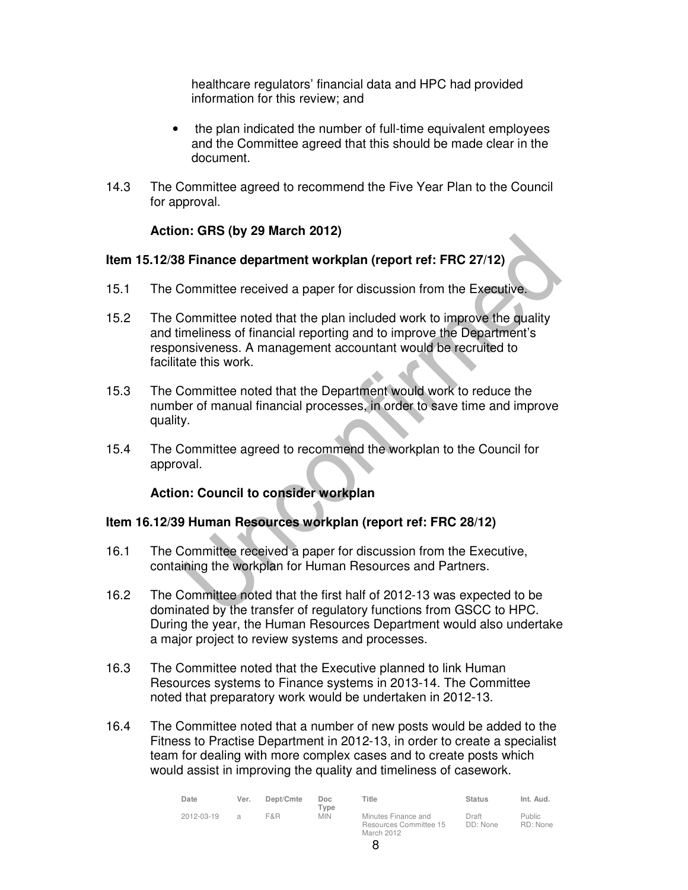healthcare regulators' financial data and HPC had provided information for this review; and

- the plan indicated the number of full-time equivalent employees and the Committee agreed that this should be made clear in the document.
- 14.3 The Committee agreed to recommend the Five Year Plan to the Council for approval.

# **Action: GRS (by 29 March 2012)**

#### **Item 15.12/38 Finance department workplan (report ref: FRC 27/12)**

- 15.1 The Committee received a paper for discussion from the Executive.
- 15.2 The Committee noted that the plan included work to improve the quality and timeliness of financial reporting and to improve the Department's responsiveness. A management accountant would be recruited to facilitate this work.
- 15.3 The Committee noted that the Department would work to reduce the number of manual financial processes, in order to save time and improve quality.
- 15.4 The Committee agreed to recommend the workplan to the Council for approval.

# **Action: Council to consider workplan**

#### **Item 16.12/39 Human Resources workplan (report ref: FRC 28/12)**

- 16.1 The Committee received a paper for discussion from the Executive, containing the workplan for Human Resources and Partners.
- 16.2 The Committee noted that the first half of 2012-13 was expected to be dominated by the transfer of regulatory functions from GSCC to HPC. During the year, the Human Resources Department would also undertake a major project to review systems and processes.
- 16.3 The Committee noted that the Executive planned to link Human Resources systems to Finance systems in 2013-14. The Committee noted that preparatory work would be undertaken in 2012-13.
- 16.4 The Committee noted that a number of new posts would be added to the Fitness to Practise Department in 2012-13, in order to create a specialist team for dealing with more complex cases and to create posts which would assist in improving the quality and timeliness of casework.

| Date       | Ver.          | Dept/Cmte | Doc.<br>Type | Title                                                       | <b>Status</b>     | Int. Aud.                 |
|------------|---------------|-----------|--------------|-------------------------------------------------------------|-------------------|---------------------------|
| 2012-03-19 | $\mathcal{L}$ | F&R       | <b>MIN</b>   | Minutes Finance and<br>Resources Committee 15<br>March 2012 | Draft<br>DD: None | <b>Public</b><br>RD: None |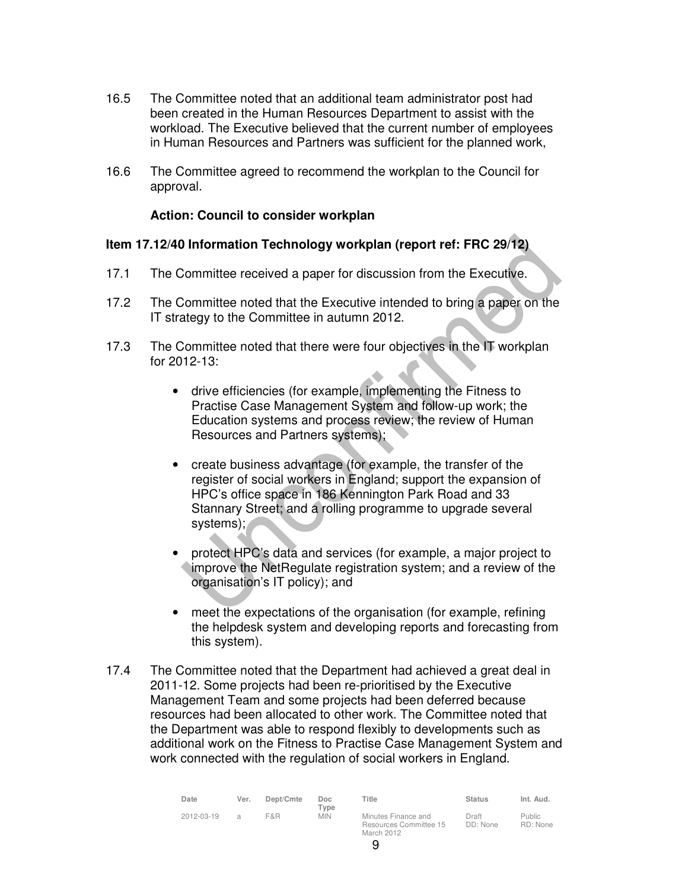- 16.5 The Committee noted that an additional team administrator post had been created in the Human Resources Department to assist with the workload. The Executive believed that the current number of employees in Human Resources and Partners was sufficient for the planned work,
- 16.6 The Committee agreed to recommend the workplan to the Council for approval.

#### **Action: Council to consider workplan**

#### **Item 17.12/40 Information Technology workplan (report ref: FRC 29/12)**

- 17.1 The Committee received a paper for discussion from the Executive.
- 17.2 The Committee noted that the Executive intended to bring a paper on the IT strategy to the Committee in autumn 2012.
- 17.3 The Committee noted that there were four objectives in the IT workplan for 2012-13:
	- drive efficiencies (for example, implementing the Fitness to Practise Case Management System and follow-up work; the Education systems and process review; the review of Human Resources and Partners systems);
	- create business advantage (for example, the transfer of the register of social workers in England; support the expansion of HPC's office space in 186 Kennington Park Road and 33 Stannary Street; and a rolling programme to upgrade several systems);
	- protect HPC's data and services (for example, a major project to improve the NetRegulate registration system; and a review of the organisation's IT policy); and
	- meet the expectations of the organisation (for example, refining the helpdesk system and developing reports and forecasting from this system).
- 17.4 The Committee noted that the Department had achieved a great deal in 2011-12. Some projects had been re-prioritised by the Executive Management Team and some projects had been deferred because resources had been allocated to other work. The Committee noted that the Department was able to respond flexibly to developments such as additional work on the Fitness to Practise Case Management System and work connected with the regulation of social workers in England.

| Date       | Ver.          | Dept/Cmte | Doc.<br>Type | Title                                                       | <b>Status</b>     | Int. Aud.                 |
|------------|---------------|-----------|--------------|-------------------------------------------------------------|-------------------|---------------------------|
| 2012-03-19 | $\mathcal{L}$ | F&R       | <b>MIN</b>   | Minutes Finance and<br>Resources Committee 15<br>March 2012 | Draft<br>DD: None | <b>Public</b><br>RD: None |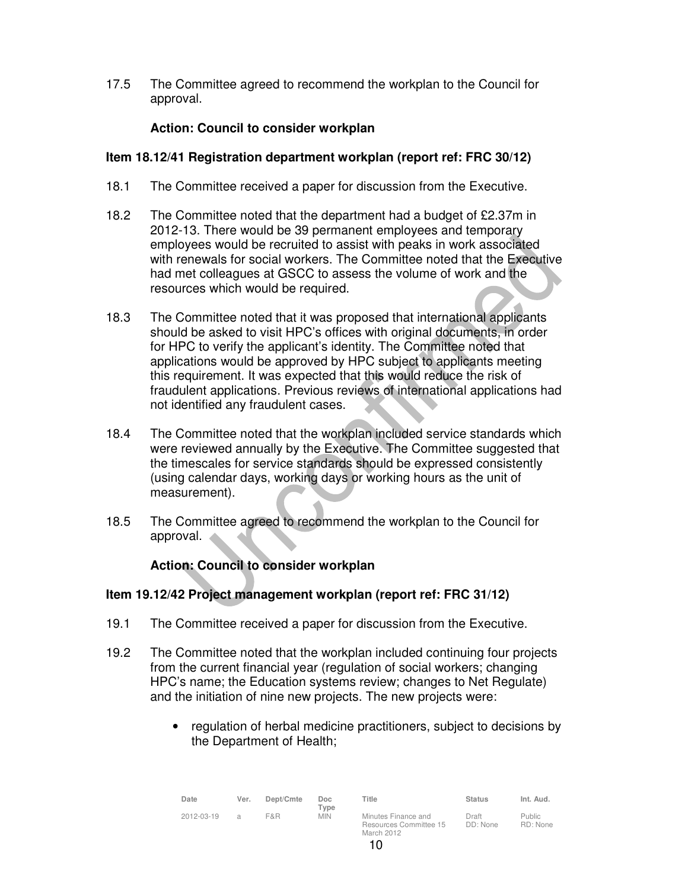17.5 The Committee agreed to recommend the workplan to the Council for approval.

# **Action: Council to consider workplan**

# **Item 18.12/41 Registration department workplan (report ref: FRC 30/12)**

- 18.1 The Committee received a paper for discussion from the Executive.
- 18.2 The Committee noted that the department had a budget of £2.37m in 2012-13. There would be 39 permanent employees and temporary employees would be recruited to assist with peaks in work associated with renewals for social workers. The Committee noted that the Executive had met colleagues at GSCC to assess the volume of work and the resources which would be required.
- 18.3 The Committee noted that it was proposed that international applicants should be asked to visit HPC's offices with original documents, in order for HPC to verify the applicant's identity. The Committee noted that applications would be approved by HPC subject to applicants meeting this requirement. It was expected that this would reduce the risk of fraudulent applications. Previous reviews of international applications had not identified any fraudulent cases.
- 18.4 The Committee noted that the workplan included service standards which were reviewed annually by the Executive. The Committee suggested that the timescales for service standards should be expressed consistently (using calendar days, working days or working hours as the unit of measurement).
- 18.5 The Committee agreed to recommend the workplan to the Council for approval.

# **Action: Council to consider workplan**

# **Item 19.12/42 Project management workplan (report ref: FRC 31/12)**

- 19.1 The Committee received a paper for discussion from the Executive.
- 19.2 The Committee noted that the workplan included continuing four projects from the current financial year (regulation of social workers; changing HPC's name; the Education systems review; changes to Net Regulate) and the initiation of nine new projects. The new projects were:
	- regulation of herbal medicine practitioners, subject to decisions by the Department of Health;

| Date       | Ver.          | Dept/Cmte | Doc<br>Type | Title                                                       | <b>Status</b>     | Int. Aud.                 |
|------------|---------------|-----------|-------------|-------------------------------------------------------------|-------------------|---------------------------|
| 2012-03-19 | $\mathcal{A}$ | F&R       | <b>MIN</b>  | Minutes Finance and<br>Resources Committee 15<br>March 2012 | Draft<br>DD: None | <b>Public</b><br>RD: None |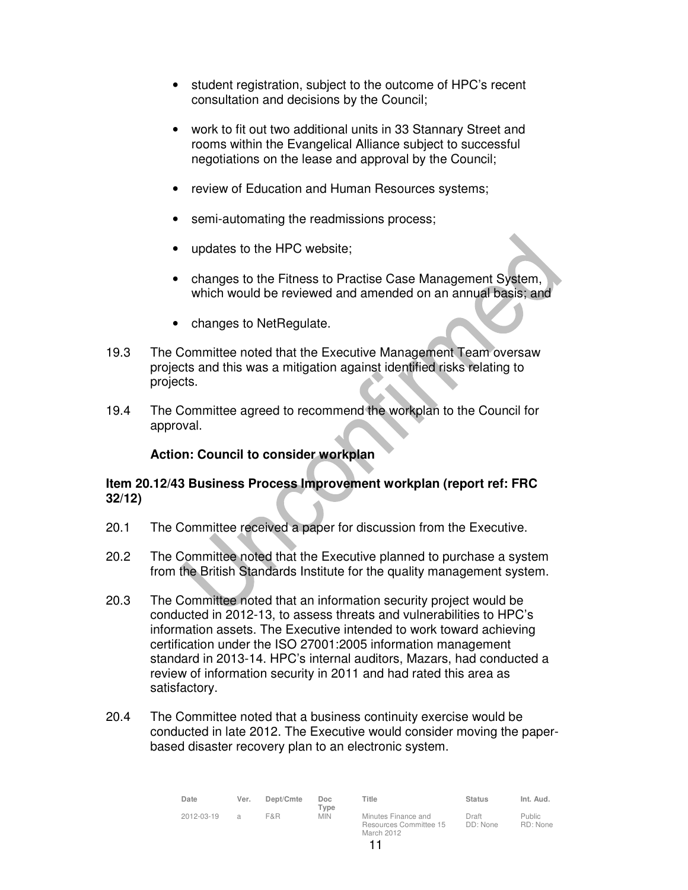- student registration, subject to the outcome of HPC's recent consultation and decisions by the Council;
- work to fit out two additional units in 33 Stannary Street and rooms within the Evangelical Alliance subject to successful negotiations on the lease and approval by the Council;
- review of Education and Human Resources systems;
- semi-automating the readmissions process;
- updates to the HPC website;
- changes to the Fitness to Practise Case Management System, which would be reviewed and amended on an annual basis; and
- changes to NetRegulate.
- 19.3 The Committee noted that the Executive Management Team oversaw projects and this was a mitigation against identified risks relating to projects.
- 19.4 The Committee agreed to recommend the workplan to the Council for approval.

# **Action: Council to consider workplan**

# **Item 20.12/43 Business Process Improvement workplan (report ref: FRC 32/12)**

- 20.1 The Committee received a paper for discussion from the Executive.
- 20.2 The Committee noted that the Executive planned to purchase a system from the British Standards Institute for the quality management system.
- 20.3 The Committee noted that an information security project would be conducted in 2012-13, to assess threats and vulnerabilities to HPC's information assets. The Executive intended to work toward achieving certification under the ISO 27001:2005 information management standard in 2013-14. HPC's internal auditors, Mazars, had conducted a review of information security in 2011 and had rated this area as satisfactory.
- 20.4 The Committee noted that a business continuity exercise would be conducted in late 2012. The Executive would consider moving the paperbased disaster recovery plan to an electronic system.

| Date       | Ver.          | Dept/Cmte | Doc<br>$T$ <sub>Vpe</sub> | Title                                                       | <b>Status</b>     | Int. Aud.                 |
|------------|---------------|-----------|---------------------------|-------------------------------------------------------------|-------------------|---------------------------|
| 2012-03-19 | $\mathcal{A}$ | F&R       | <b>MIN</b>                | Minutes Finance and<br>Resources Committee 15<br>March 2012 | Draft<br>DD: None | <b>Public</b><br>RD: None |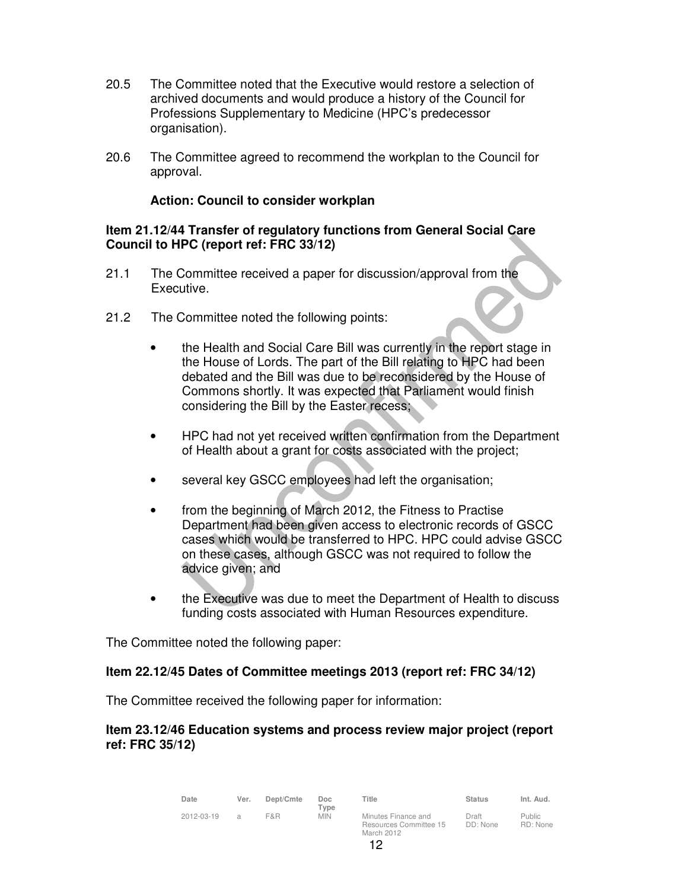- 20.5 The Committee noted that the Executive would restore a selection of archived documents and would produce a history of the Council for Professions Supplementary to Medicine (HPC's predecessor organisation).
- 20.6 The Committee agreed to recommend the workplan to the Council for approval.

### **Action: Council to consider workplan**

#### **Item 21.12/44 Transfer of regulatory functions from General Social Care Council to HPC (report ref: FRC 33/12)**

- 21.1 The Committee received a paper for discussion/approval from the Executive.
- 21.2 The Committee noted the following points:
	- the Health and Social Care Bill was currently in the report stage in the House of Lords. The part of the Bill relating to HPC had been debated and the Bill was due to be reconsidered by the House of Commons shortly. It was expected that Parliament would finish considering the Bill by the Easter recess;
	- HPC had not yet received written confirmation from the Department of Health about a grant for costs associated with the project;
	- several key GSCC employees had left the organisation;
	- from the beginning of March 2012, the Fitness to Practise Department had been given access to electronic records of GSCC cases which would be transferred to HPC. HPC could advise GSCC on these cases, although GSCC was not required to follow the advice given; and
	- the Executive was due to meet the Department of Health to discuss funding costs associated with Human Resources expenditure.

The Committee noted the following paper:

#### **Item 22.12/45 Dates of Committee meetings 2013 (report ref: FRC 34/12)**

The Committee received the following paper for information:

#### **Item 23.12/46 Education systems and process review major project (report ref: FRC 35/12)**

| Date       | Ver.          | Dept/Cmte | Doc.<br>Type | Title                                                       | <b>Status</b>     | Int. Aud.                 |
|------------|---------------|-----------|--------------|-------------------------------------------------------------|-------------------|---------------------------|
| 2012-03-19 | $\mathcal{A}$ | F&R       | <b>MIN</b>   | Minutes Finance and<br>Resources Committee 15<br>March 2012 | Draft<br>DD: None | <b>Public</b><br>RD: None |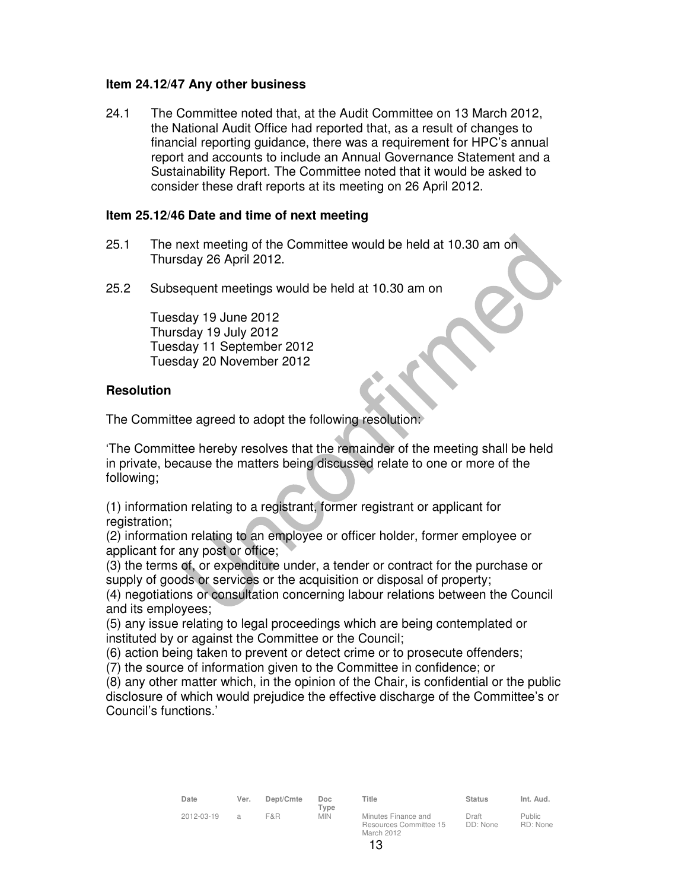### **Item 24.12/47 Any other business**

24.1 The Committee noted that, at the Audit Committee on 13 March 2012, the National Audit Office had reported that, as a result of changes to financial reporting guidance, there was a requirement for HPC's annual report and accounts to include an Annual Governance Statement and a Sustainability Report. The Committee noted that it would be asked to consider these draft reports at its meeting on 26 April 2012.

#### **Item 25.12/46 Date and time of next meeting**

- 25.1 The next meeting of the Committee would be held at 10.30 am on Thursday 26 April 2012.
- 25.2 Subsequent meetings would be held at 10.30 am on

Tuesday 19 June 2012 Thursday 19 July 2012 Tuesday 11 September 2012 Tuesday 20 November 2012

#### **Resolution**

The Committee agreed to adopt the following resolution:

'The Committee hereby resolves that the remainder of the meeting shall be held in private, because the matters being discussed relate to one or more of the following;

(1) information relating to a registrant, former registrant or applicant for registration:

(2) information relating to an employee or officer holder, former employee or applicant for any post or office;

(3) the terms of, or expenditure under, a tender or contract for the purchase or supply of goods or services or the acquisition or disposal of property;

(4) negotiations or consultation concerning labour relations between the Council and its employees;

(5) any issue relating to legal proceedings which are being contemplated or instituted by or against the Committee or the Council;

(6) action being taken to prevent or detect crime or to prosecute offenders;

(7) the source of information given to the Committee in confidence; or

(8) any other matter which, in the opinion of the Chair, is confidential or the public disclosure of which would prejudice the effective discharge of the Committee's or Council's functions.'

| Date       | Ver. | Dept/Cmte | Doc                |
|------------|------|-----------|--------------------|
| 2012-03-19 | a    | F&R       | Type<br><b>MIN</b> |

| I |  |  |  |  |
|---|--|--|--|--|

**Title Status Int. Aud.**

Draft DD: None

Public RD: None

Minutes Finance and Resources Committee 15